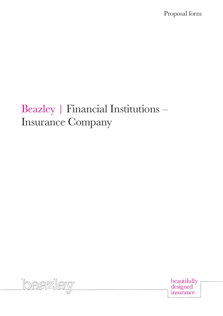Proposal form

# Beazley | Financial Institutions – Insurance Company



beautifully<br>designed insurance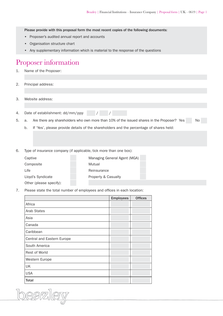Please provide with this proposal form the most recent copies of the following documents:

- Proposer's audited annual report and accounts
- Organisation structure chart
- Any supplementary information which is material to the response of the questions

#### Proposer information

- 1. Name of the Proposer:
- 2. Principal address:
- 3. Website address:
- 4. Date of establishment: dd/mm/yyyy / / /
- 5. a. Are there any shareholders who own more than 10% of the issued shares in the Proposer? Yes No
	- b. If 'Yes', please provide details of the shareholders and the percentage of shares held:
- 6. Type of insurance company (if applicable, tick more than one box):

| Captive                 | Managing General Agent (MGA) |
|-------------------------|------------------------------|
| Composite               | Mutual                       |
| Life.                   | Reinsurance                  |
| Lloyd's Syndicate       | Property & Casualty          |
| Other (please specify): |                              |

7. Please state the total number of employees and offices in each location:

|                            | <b>Employees</b> | <b>Offices</b> |
|----------------------------|------------------|----------------|
| Africa                     |                  |                |
| <b>Arab States</b>         |                  |                |
| Asia                       |                  |                |
| Canada                     |                  |                |
| Caribbean                  |                  |                |
| Central and Eastern Europe |                  |                |
| South America              |                  |                |
| <b>Rest of World</b>       |                  |                |
| Western Europe             |                  |                |
| UK                         |                  |                |
| <b>USA</b>                 |                  |                |
| <b>Total</b>               |                  |                |

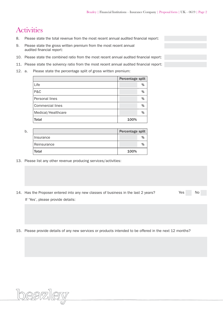## **Activities**

 $\overline{a}$ 

- 8. Please state the total revenue from the most recent annual audited financial report:
- 9. Please state the gross written premium from the most recent annual audited financial report:
- 10. Please state the combined ratio from the most recent annual audited financial report:
- 11. Please state the solvency ratio from the most recent annual audited financial report:
- 12. a. Please state the percentage split of gross written premium:

|                    | Percentage split |   |
|--------------------|------------------|---|
| Life               |                  | % |
| P&C                |                  | % |
| Personal lines     |                  | % |
| Commercial lines   |                  | % |
| Medical/Healthcare |                  | % |
| <b>Total</b>       | 100%             |   |

| b. |             | Percentage split |      |
|----|-------------|------------------|------|
|    | Insurance   |                  | $\%$ |
|    | Reinsurance |                  |      |
|    | Total       | 100%             |      |

- 13. Please list any other revenue producing services/activities:
- 14. Has the Proposer entered into any new classes of business in the last 2 years? Yes No If 'Yes', please provide details:
- 

15. Please provide details of any new services or products intended to be offered in the next 12 months?

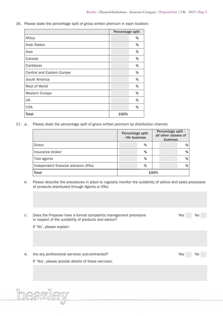16. Please state the percentage split of gross written premium in each location:

|                            | Percentage split |      |
|----------------------------|------------------|------|
| Africa                     |                  | %    |
| <b>Arab States</b>         |                  | %    |
| Asia                       |                  | %    |
| Canada                     |                  | %    |
| Caribbean                  |                  | %    |
| Central and Eastern Europe |                  | %    |
| South America              |                  | %    |
| Rest of World              |                  | %    |
| Western Europe             |                  | $\%$ |
| UK                         |                  | %    |
| <b>USA</b>                 |                  | %    |
| <b>Total</b>               | 100%             |      |

17. a. Please state the percentage split of gross written premium by distribution channel:

|                                       | Percentage split<br>- life business |   |      | Percentage split -<br>all other classes of<br>business |   |
|---------------------------------------|-------------------------------------|---|------|--------------------------------------------------------|---|
| Direct                                |                                     | % |      |                                                        | % |
| Insurance broker                      |                                     | % |      |                                                        | % |
| Tied agents                           |                                     | % |      |                                                        | % |
| Independent financial advisors (IFAs) |                                     | % |      |                                                        | % |
| <b>Total</b>                          |                                     |   | 100% |                                                        |   |

b. Please describe the procedures in place to regularly monitor the suitability of advice and sales processes of products distributed through Agents or IFAs:

| C. | Does the Proposer have a formal complaints management procedure<br>in respect of the suitability of products and advice? | Yes | No |
|----|--------------------------------------------------------------------------------------------------------------------------|-----|----|
|    | If 'No', please explain:                                                                                                 |     |    |
|    |                                                                                                                          |     |    |
| d. | Are any professional services sub-contracted?<br>If 'Yes', please provide details of these services:                     | Yes | No |
|    |                                                                                                                          |     |    |
|    |                                                                                                                          |     |    |

beazley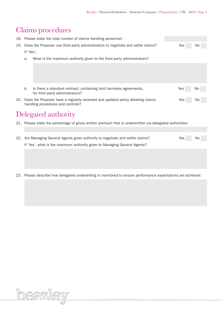## Claims procedures

|                                                                                         | 18. Please state the total number of claims handling personnel: |                                                                                                                          |     |    |
|-----------------------------------------------------------------------------------------|-----------------------------------------------------------------|--------------------------------------------------------------------------------------------------------------------------|-----|----|
| Does the Proposer use third party administrators to negotiate and settle claims?<br>19. |                                                                 |                                                                                                                          | Yes | No |
|                                                                                         | If 'Yes',                                                       |                                                                                                                          |     |    |
|                                                                                         | a.                                                              | What is the maximum authority given to the third party administrators?                                                   |     |    |
|                                                                                         |                                                                 |                                                                                                                          |     |    |
|                                                                                         |                                                                 |                                                                                                                          |     |    |
|                                                                                         |                                                                 |                                                                                                                          |     |    |
|                                                                                         | b.                                                              | Is there a standard contract, containing hold harmless agreements,<br>for third party administrators?                    | Yes | No |
|                                                                                         |                                                                 | 20. Does the Proposer have a regularly reviewed and updated policy detailing claims<br>handling procedures and controls? | Yes | No |
|                                                                                         |                                                                 | Delegated authority                                                                                                      |     |    |
|                                                                                         |                                                                 | 21. Please state the percentage of gross written premium that is underwritten via delegated authorities:                 |     |    |
|                                                                                         |                                                                 |                                                                                                                          |     |    |
|                                                                                         |                                                                 | 22. Are Managing General Agents given authority to negotiate and settle claims?                                          | Yes | No |
|                                                                                         |                                                                 | If 'Yes', what is the maximum authority given to Managing General Agents?                                                |     |    |
|                                                                                         |                                                                 |                                                                                                                          |     |    |
|                                                                                         |                                                                 |                                                                                                                          |     |    |
|                                                                                         |                                                                 |                                                                                                                          |     |    |
|                                                                                         |                                                                 | 23. Please describe how delegated underwriting is monitored to ensure performance expectations are achieved:             |     |    |

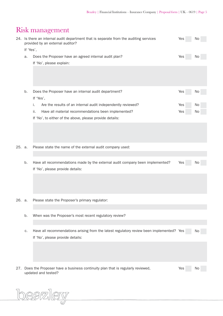## Risk management

|        |           | 24. Is there an internal audit department that is separate from the auditing services<br>provided by an external auditor?    | Yes | No        |
|--------|-----------|------------------------------------------------------------------------------------------------------------------------------|-----|-----------|
|        | If 'Yes', |                                                                                                                              |     |           |
|        | a.        | Does the Proposer have an agreed internal audit plan?                                                                        | Yes | N0        |
|        |           | If 'No', please explain:                                                                                                     |     |           |
|        | b.        | Does the Proposer have an internal audit department?<br>If 'Yes',                                                            | Yes | No        |
|        |           | Are the results of an internal audit independently reviewed?<br>i.                                                           | Yes | No        |
|        |           | Have all material recommendations been implemented?<br>ii.                                                                   | Yes | No        |
|        |           | If 'No', to either of the above, please provide details:                                                                     |     |           |
|        |           |                                                                                                                              |     |           |
| 25. a. |           | Please state the name of the external audit company used:                                                                    |     |           |
|        |           |                                                                                                                              |     |           |
|        | b.        | Have all recommendations made by the external audit company been implemented?                                                | Yes | No.       |
|        |           | If 'No', please provide details:                                                                                             |     |           |
|        |           |                                                                                                                              |     |           |
| 26. a. |           | Please state the Proposer's primary regulator:                                                                               |     |           |
|        |           |                                                                                                                              |     |           |
|        | b.        | When was the Proposer's most recent regulatory review?                                                                       |     |           |
|        |           |                                                                                                                              |     |           |
|        | С.        | Have all recommendations arising from the latest regulatory review been implemented? Yes<br>If 'No', please provide details: |     | No        |
|        |           |                                                                                                                              |     |           |
| 27.    |           | Does the Proposer have a business continuity plan that is regularly reviewed,<br>updated and tested?                         | Yes | <b>NO</b> |

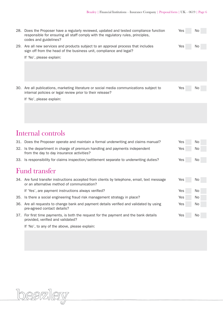| 28. Does the Proposer have a regularly reviewed, updated and tested compliance function<br>responsible for ensuring all staff comply with the regulatory rules, principles,<br>codes and guidelines? | Yes | No. |
|------------------------------------------------------------------------------------------------------------------------------------------------------------------------------------------------------|-----|-----|
| 29. Are all new services and products subject to an approval process that includes<br>sign off from the head of the business unit, compliance and legal?                                             | Yes | No  |
| If 'No', please explain:                                                                                                                                                                             |     |     |
|                                                                                                                                                                                                      |     |     |
| 30. Are all publications, marketing literature or social media communications subject to<br>internal policies or legal review prior to their release?                                                | Yes | No  |
| If 'No', please explain:                                                                                                                                                                             |     |     |
|                                                                                                                                                                                                      |     |     |
| Internal controls                                                                                                                                                                                    |     |     |
| 31. Does the Proposer operate and maintain a formal underwriting and claims manual?                                                                                                                  | Yes | No  |
| 32. Is the department in charge of premium handling and payments independent<br>from the day to day insurance activities?                                                                            | Yes | No  |
| 33. Is responsibility for claims inspection/settlement separate to underwriting duties?                                                                                                              | Yes | No  |
| Fund transfer                                                                                                                                                                                        |     |     |
| 34. Are fund transfer instructions accepted from clients by telephone, email, text message<br>or an alternative method of communication?                                                             | Yes | No  |
| If 'Yes', are payment instructions always verified?                                                                                                                                                  | Yes | No. |
| 35. Is there a social engineering fraud risk management strategy in place?                                                                                                                           | Yes | No  |
| 36. Are all requests to change bank and payment details verified and validated by using<br>pre-agreed contact details?                                                                               | Yes | No  |
| 37. For first time payments, is both the request for the payment and the bank details<br>provided, verified and validated?                                                                           | Yes | N0  |

If 'No', to any of the above, please explain:

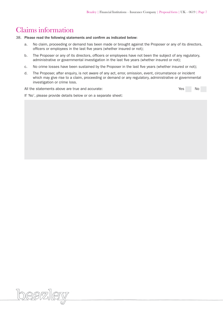## Claims information

38. Please read the following statements and confirm as indicated below:

- a. No claim, proceeding or demand has been made or brought against the Proposer or any of its directors, officers or employees in the last five years (whether insured or not);
- b. The Proposer or any of its directors, officers or employees have not been the subject of any regulatory, administrative or governmental investigation in the last five years (whether insured or not);
- c. No crime losses have been sustained by the Proposer in the last five years (whether insured or not);
- d. The Proposer, after enquiry, is not aware of any act, error, omission, event, circumstance or incident which may give rise to a claim, proceeding or demand or any regulatory, administrative or governmental investigation or crime loss.

All the statements above are true and accurate:  $Y$ es No

If 'No', please provide details below or on a separate sheet: